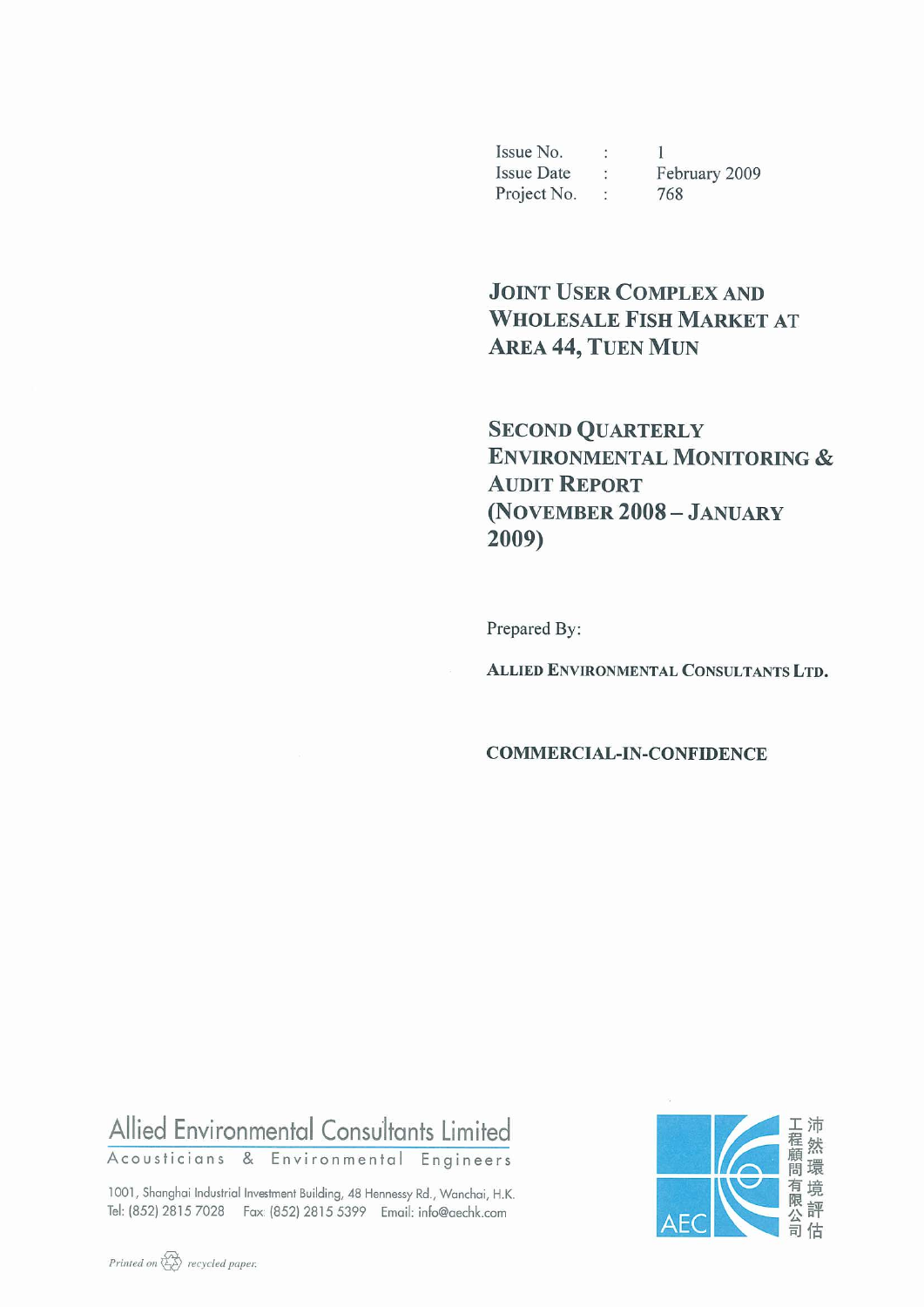Issue No. :  $\overline{1}$ Issue Date : February 2009 Project No. : 768

# **JOINT USER COMPLEX AND WHOLESALE FISH MARKET AT AREA 44, TUEN MUN**

**SECOND QUARTERLY ENVIRONMENTAL MONITORING & AUDIT REPORT** (NOVEMBER 2008 - JANUARY 2009)

Prepared By:

ALLIED ENVIRONMENTAL CONSULTANTS LTD.

#### **COMMERCIAL-IN-CONFIDENCE**

# Allied Environmental Consultants Limited

Acousticians & Environmental Engineers

1001, Shanghai Industrial Investment Building, 48 Hennessy Rd., Wanchai, H.K. Tel: (852) 2815 7028 Fax: (852) 2815 5399 Email: info@aechk.com

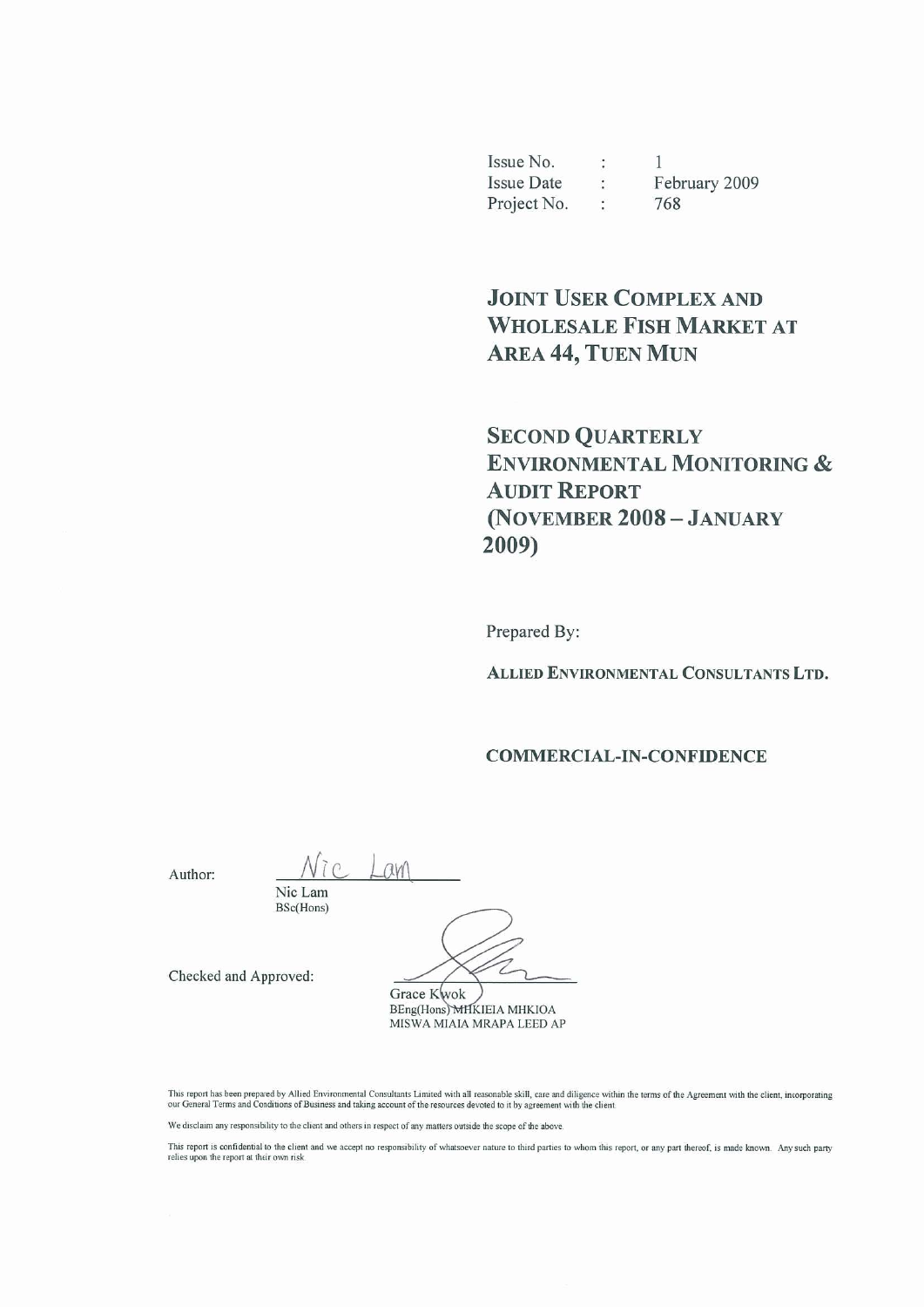Issue No.  $\frac{1}{2}$  $\mathbf{1}$ February 2009 **Issue Date** Project No.  $\cdot$ 768

**JOINT USER COMPLEX AND WHOLESALE FISH MARKET AT AREA 44, TUEN MUN** 

**SECOND QUARTERLY ENVIRONMENTAL MONITORING & AUDIT REPORT** (NOVEMBER 2008 - JANUARY 2009)

Prepared By:

ALLIED ENVIRONMENTAL CONSULTANTS LTD.

#### **COMMERCIAL-IN-CONFIDENCE**

Author:

 $AM$ 

Checked and Approved:

Nic Lam BSc(Hons)

Grace Kwok BEng(Hons) MHKIEIA MHKIOA MISWA MIAIA MRAPA LEED AP

This report has been prepared by Allied Environmental Consultants Limited with all reasonable skill, care and diligence within the terms of the Agreement with the client, incorporating<br>our General Terms and Conditions of B

We disclaim any responsibility to the client and others in respect of any matters outside the scope of the above.

This report is confidential to the client and we accept no responsibility of whatsoever nature to third parties to whom this report, or any part thereof, is made known. Any such party relies upon the report at their own risk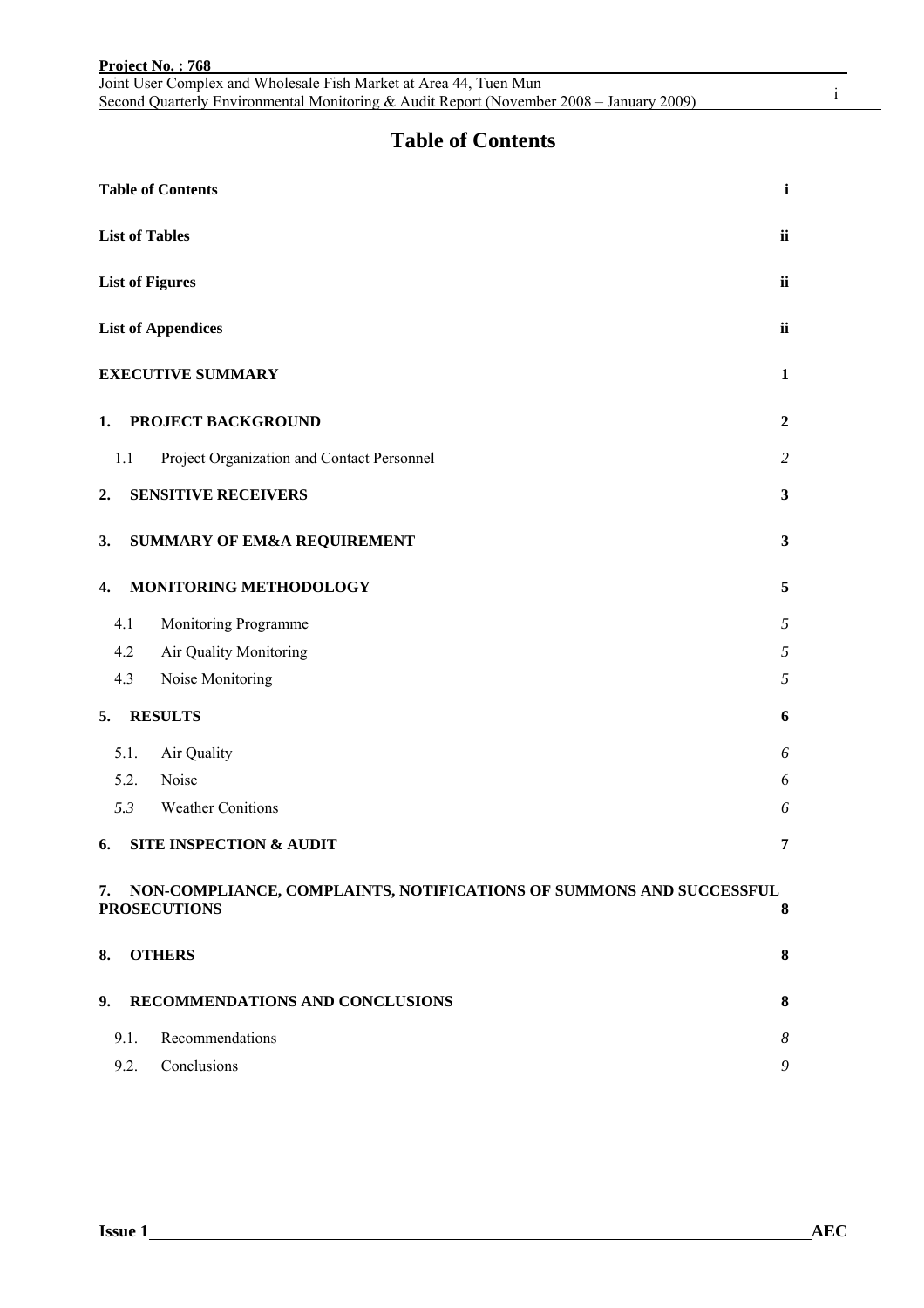### **Table of Contents**

|                                                                                                       | <b>Table of Contents</b><br>$\mathbf{i}$ |                                            |                  |  |  |  |  |
|-------------------------------------------------------------------------------------------------------|------------------------------------------|--------------------------------------------|------------------|--|--|--|--|
|                                                                                                       | <b>List of Tables</b><br>ii              |                                            |                  |  |  |  |  |
|                                                                                                       |                                          | <b>List of Figures</b>                     | ii               |  |  |  |  |
|                                                                                                       |                                          | <b>List of Appendices</b>                  | ii               |  |  |  |  |
|                                                                                                       |                                          | <b>EXECUTIVE SUMMARY</b>                   | $\mathbf{1}$     |  |  |  |  |
| 1.                                                                                                    |                                          | PROJECT BACKGROUND                         | $\boldsymbol{2}$ |  |  |  |  |
|                                                                                                       | 1.1                                      | Project Organization and Contact Personnel | $\overline{2}$   |  |  |  |  |
| 2.                                                                                                    |                                          | <b>SENSITIVE RECEIVERS</b>                 | $\mathbf{3}$     |  |  |  |  |
| 3.                                                                                                    |                                          | <b>SUMMARY OF EM&amp;A REQUIREMENT</b>     | $\mathbf{3}$     |  |  |  |  |
| 4.                                                                                                    |                                          | MONITORING METHODOLOGY                     | 5                |  |  |  |  |
|                                                                                                       | 4.1                                      | Monitoring Programme                       | 5                |  |  |  |  |
|                                                                                                       | 4.2                                      | Air Quality Monitoring                     | $\sqrt{2}$       |  |  |  |  |
|                                                                                                       | 4.3                                      | Noise Monitoring                           | 5                |  |  |  |  |
| 5.                                                                                                    |                                          | <b>RESULTS</b>                             | 6                |  |  |  |  |
|                                                                                                       | 5.1.                                     | Air Quality                                | 6                |  |  |  |  |
|                                                                                                       | 5.2.                                     | Noise                                      | 6                |  |  |  |  |
|                                                                                                       | 5.3                                      | <b>Weather Conitions</b>                   | 6                |  |  |  |  |
| 6.                                                                                                    |                                          | <b>SITE INSPECTION &amp; AUDIT</b>         | 7                |  |  |  |  |
| NON-COMPLIANCE, COMPLAINTS, NOTIFICATIONS OF SUMMONS AND SUCCESSFUL<br>7.<br>8<br><b>PROSECUTIONS</b> |                                          |                                            |                  |  |  |  |  |
| 8.                                                                                                    |                                          | <b>OTHERS</b>                              | 8                |  |  |  |  |
| 9.                                                                                                    |                                          | RECOMMENDATIONS AND CONCLUSIONS            | 8                |  |  |  |  |
|                                                                                                       | 9.1.                                     | Recommendations                            | $\boldsymbol{8}$ |  |  |  |  |
|                                                                                                       | 9.2.                                     | Conclusions                                | 9                |  |  |  |  |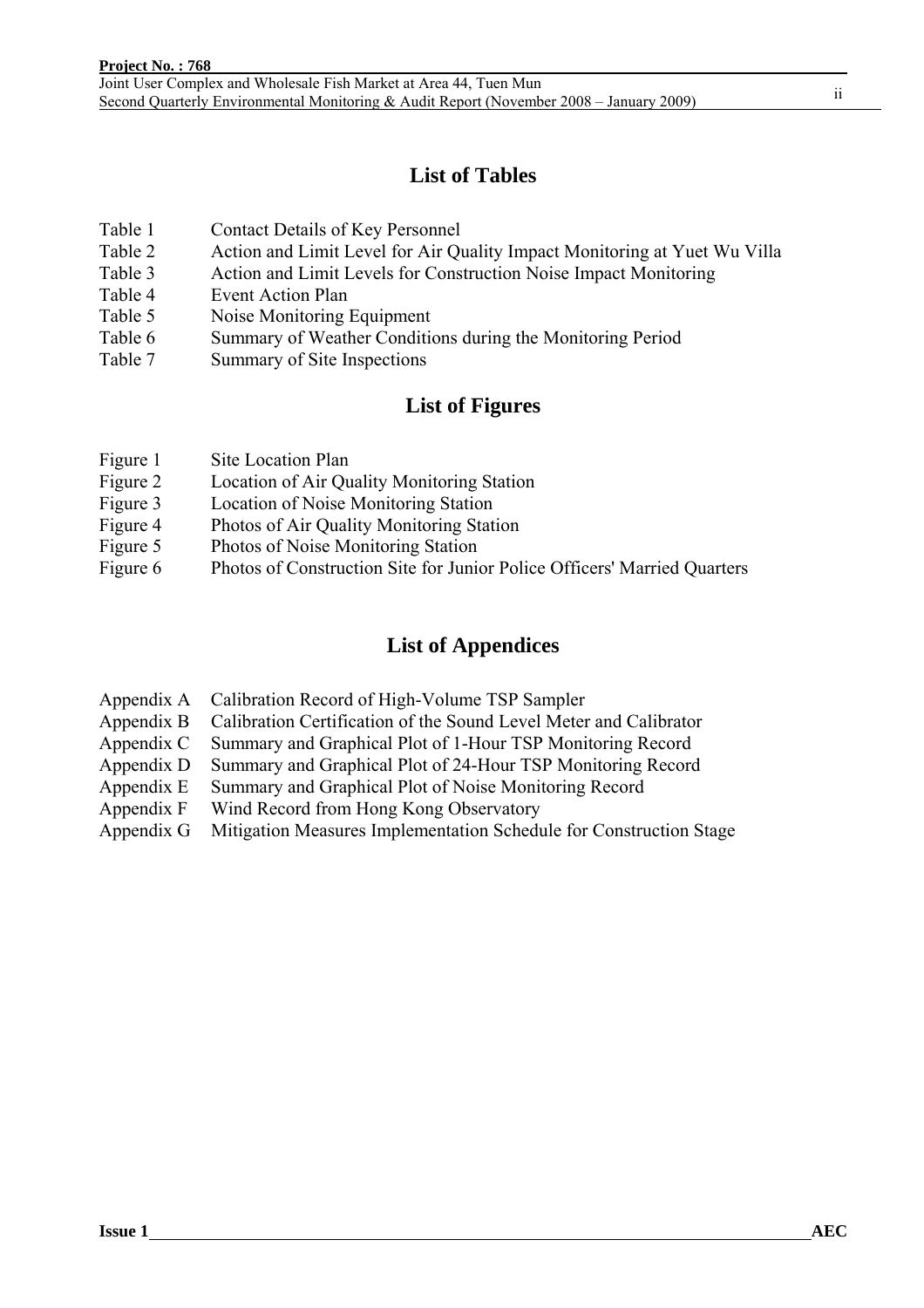### **List of Tables**

- Table 1 Contact Details of Key Personnel
- Table 2 Action and Limit Level for Air Quality Impact Monitoring at Yuet Wu Villa
- Table 3 Action and Limit Levels for Construction Noise Impact Monitoring
- Table 4 Event Action Plan
- Table 5 Noise Monitoring Equipment
- Table 6 Summary of Weather Conditions during the Monitoring Period
- Table 7 Summary of Site Inspections

### **List of Figures**

- Figure 1 Site Location Plan
- Figure 2 Location of Air Quality Monitoring Station
- Figure 3 Location of Noise Monitoring Station
- Figure 4 Photos of Air Quality Monitoring Station
- Figure 5 Photos of Noise Monitoring Station
- Figure 6 Photos of Construction Site for Junior Police Officers' Married Quarters

### **List of Appendices**

- Appendix A Calibration Record of High-Volume TSP Sampler
- Appendix B Calibration Certification of the Sound Level Meter and Calibrator
- Appendix C Summary and Graphical Plot of 1-Hour TSP Monitoring Record
- Appendix D Summary and Graphical Plot of 24-Hour TSP Monitoring Record
- Appendix E Summary and Graphical Plot of Noise Monitoring Record
- Appendix F Wind Record from Hong Kong Observatory
- Appendix G Mitigation Measures Implementation Schedule for Construction Stage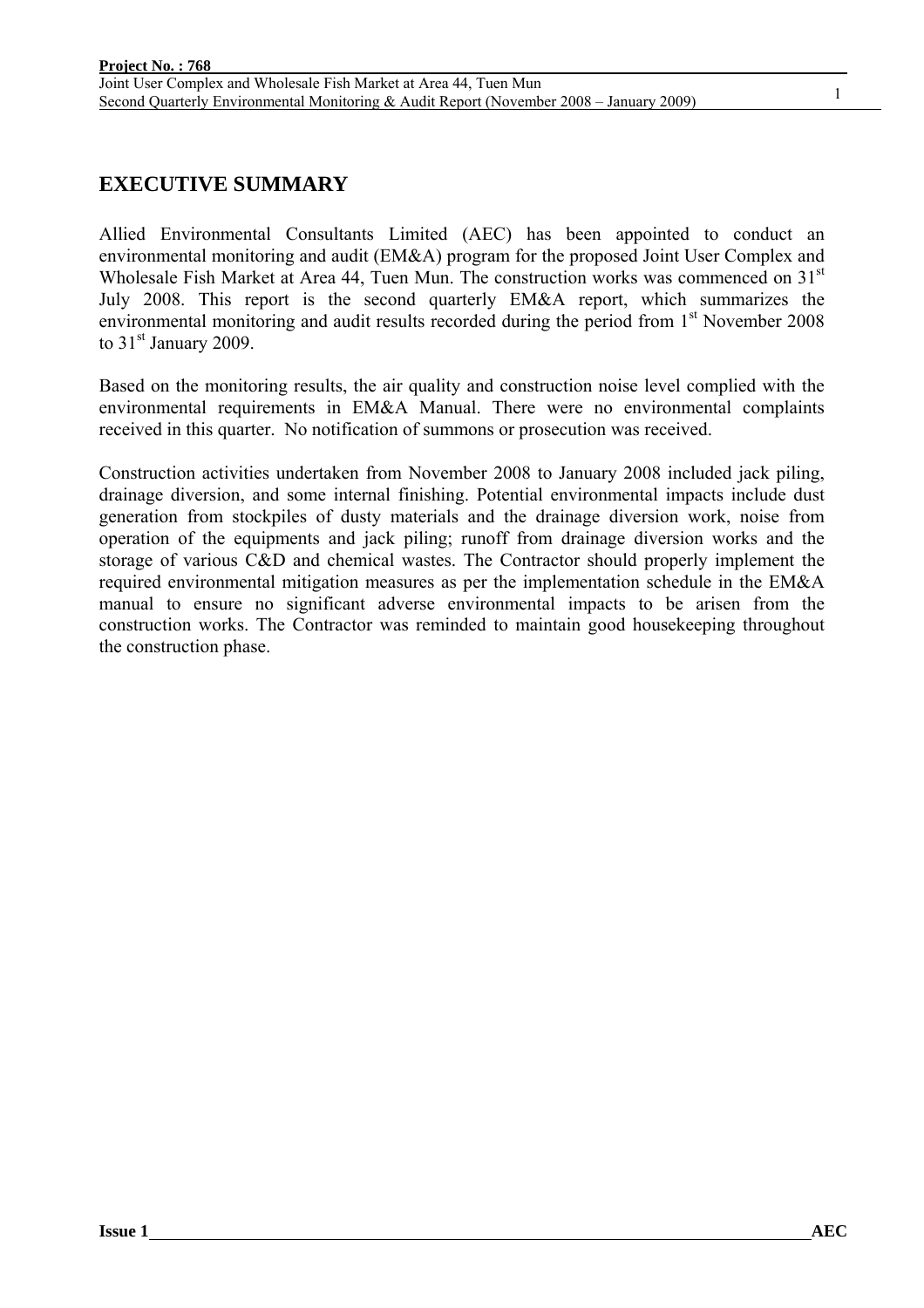#### 1

### **EXECUTIVE SUMMARY**

Allied Environmental Consultants Limited (AEC) has been appointed to conduct an environmental monitoring and audit (EM&A) program for the proposed Joint User Complex and Wholesale Fish Market at Area 44, Tuen Mun. The construction works was commenced on 31<sup>st</sup> July 2008. This report is the second quarterly EM&A report, which summarizes the environmental monitoring and audit results recorded during the period from  $1<sup>st</sup>$  November 2008 to  $31<sup>st</sup>$  January 2009.

Based on the monitoring results, the air quality and construction noise level complied with the environmental requirements in EM&A Manual. There were no environmental complaints received in this quarter. No notification of summons or prosecution was received.

Construction activities undertaken from November 2008 to January 2008 included jack piling, drainage diversion, and some internal finishing. Potential environmental impacts include dust generation from stockpiles of dusty materials and the drainage diversion work, noise from operation of the equipments and jack piling; runoff from drainage diversion works and the storage of various C&D and chemical wastes. The Contractor should properly implement the required environmental mitigation measures as per the implementation schedule in the EM&A manual to ensure no significant adverse environmental impacts to be arisen from the construction works. The Contractor was reminded to maintain good housekeeping throughout the construction phase.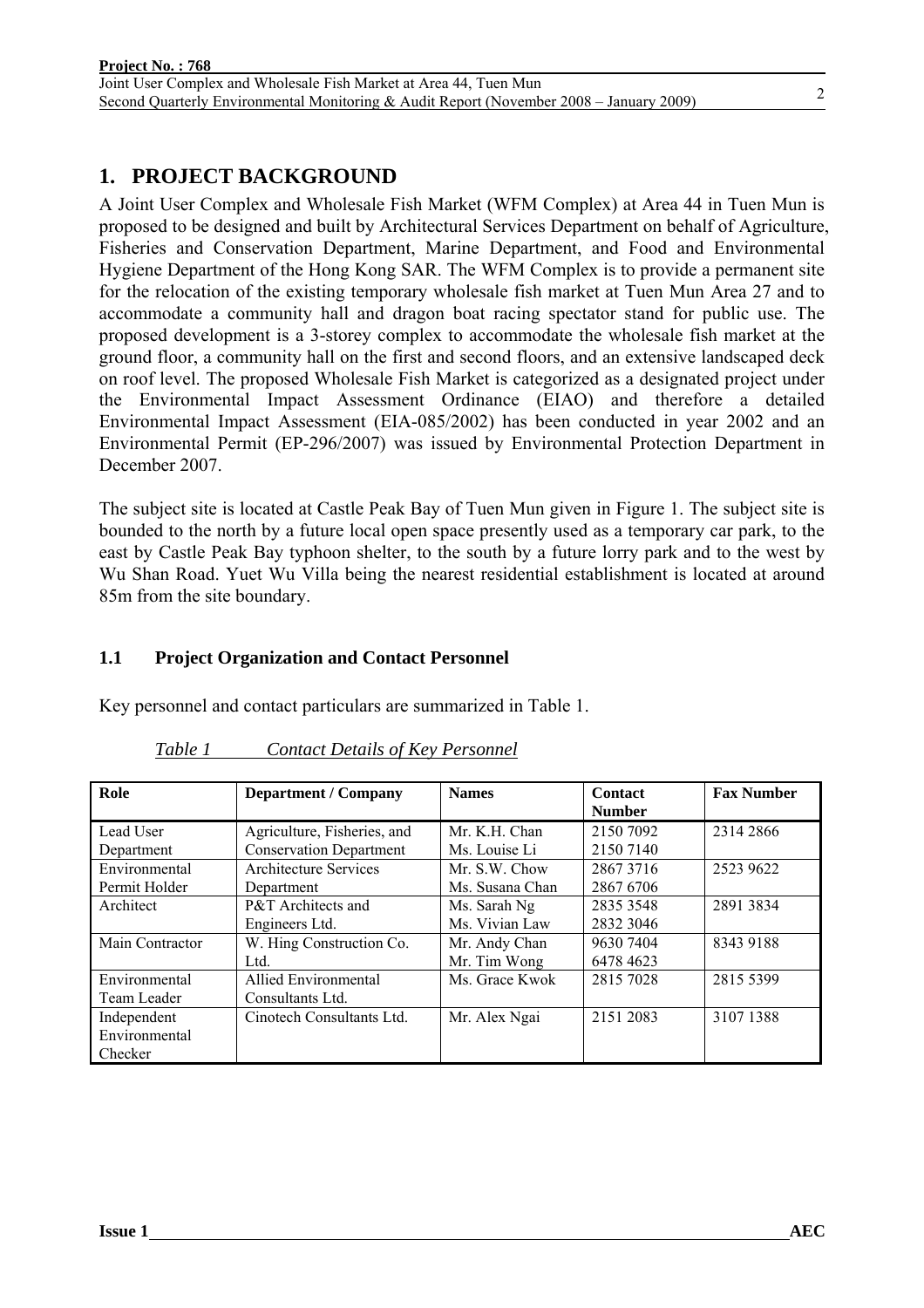### **1. PROJECT BACKGROUND**

A Joint User Complex and Wholesale Fish Market (WFM Complex) at Area 44 in Tuen Mun is proposed to be designed and built by Architectural Services Department on behalf of Agriculture, Fisheries and Conservation Department, Marine Department, and Food and Environmental Hygiene Department of the Hong Kong SAR. The WFM Complex is to provide a permanent site for the relocation of the existing temporary wholesale fish market at Tuen Mun Area 27 and to accommodate a community hall and dragon boat racing spectator stand for public use. The proposed development is a 3-storey complex to accommodate the wholesale fish market at the ground floor, a community hall on the first and second floors, and an extensive landscaped deck on roof level. The proposed Wholesale Fish Market is categorized as a designated project under the Environmental Impact Assessment Ordinance (EIAO) and therefore a detailed Environmental Impact Assessment (EIA-085/2002) has been conducted in year 2002 and an Environmental Permit (EP-296/2007) was issued by Environmental Protection Department in December 2007.

The subject site is located at Castle Peak Bay of Tuen Mun given in Figure 1. The subject site is bounded to the north by a future local open space presently used as a temporary car park, to the east by Castle Peak Bay typhoon shelter, to the south by a future lorry park and to the west by Wu Shan Road. Yuet Wu Villa being the nearest residential establishment is located at around 85m from the site boundary.

### **1.1 Project Organization and Contact Personnel**

Key personnel and contact particulars are summarized in Table 1.

| Role            | <b>Department / Company</b>    | <b>Names</b>    | Contact<br><b>Number</b> | <b>Fax Number</b> |
|-----------------|--------------------------------|-----------------|--------------------------|-------------------|
|                 |                                |                 |                          |                   |
| Lead User       | Agriculture, Fisheries, and    | Mr. K.H. Chan   | 2150 7092                | 2314 2866         |
| Department      | <b>Conservation Department</b> | Ms. Louise Li   | 2150 7140                |                   |
| Environmental   | Architecture Services          | Mr. S.W. Chow   | 28673716                 | 2523 9622         |
| Permit Holder   | Department                     | Ms. Susana Chan | 2867 6706                |                   |
| Architect       | <b>P&amp;T</b> Architects and  | Ms. Sarah Ng    | 2835 3548                | 2891 3834         |
|                 | Engineers Ltd.                 | Ms. Vivian Law  | 2832 3046                |                   |
| Main Contractor | W. Hing Construction Co.       | Mr. Andy Chan   | 9630 7404                | 8343 9188         |
|                 | Ltd.                           | Mr. Tim Wong    | 6478 4623                |                   |
| Environmental   | <b>Allied Environmental</b>    | Ms. Grace Kwok  | 2815 7028                | 2815 5399         |
| Team Leader     | Consultants Ltd.               |                 |                          |                   |
| Independent     | Cinotech Consultants Ltd.      | Mr. Alex Ngai   | 2151 2083                | 3107 1388         |
| Environmental   |                                |                 |                          |                   |
| Checker         |                                |                 |                          |                   |

| Table 1 | <b>Contact Details of Key Personnel</b> |  |
|---------|-----------------------------------------|--|
|         |                                         |  |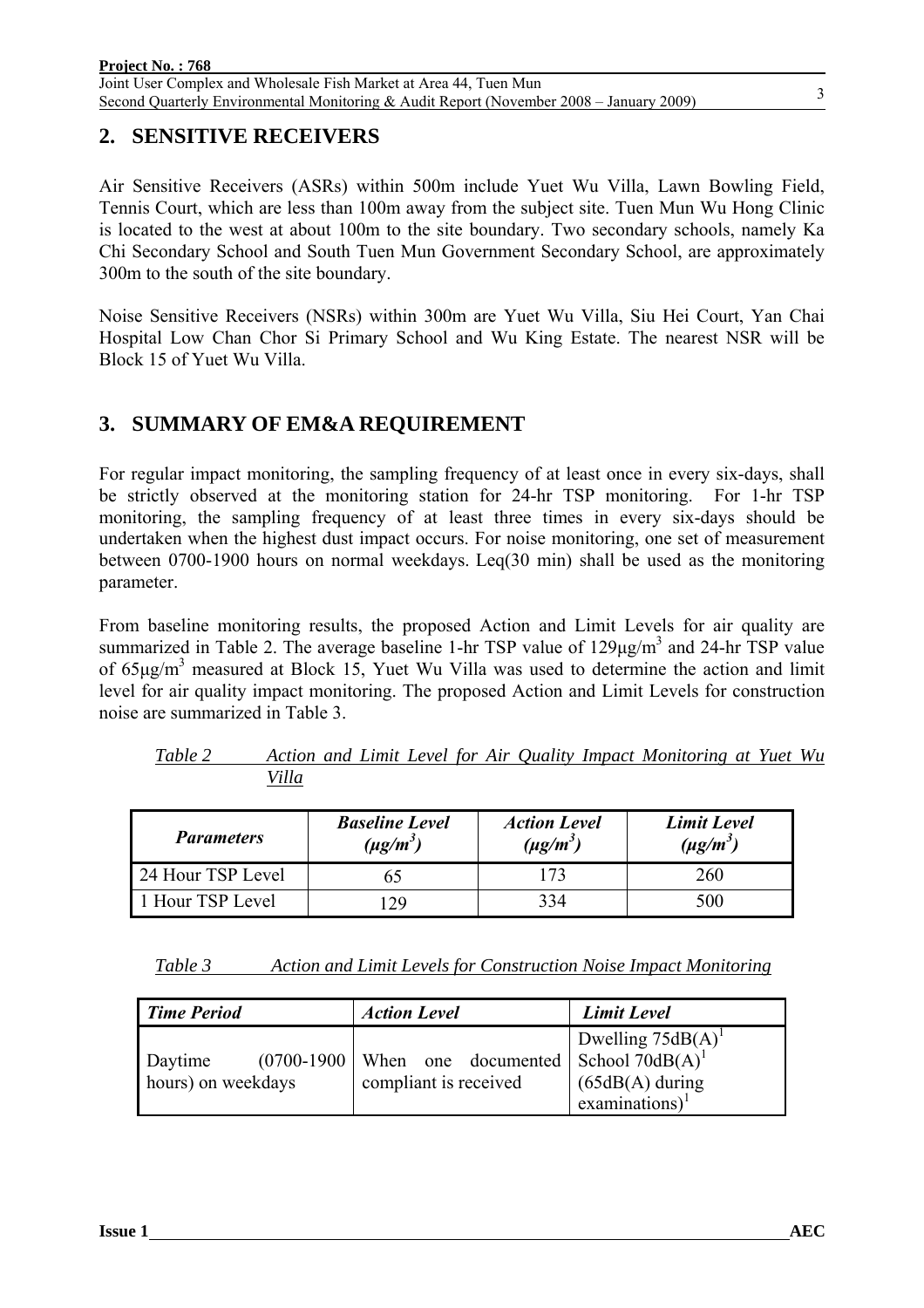### **2. SENSITIVE RECEIVERS**

Air Sensitive Receivers (ASRs) within 500m include Yuet Wu Villa, Lawn Bowling Field, Tennis Court, which are less than 100m away from the subject site. Tuen Mun Wu Hong Clinic is located to the west at about 100m to the site boundary. Two secondary schools, namely Ka Chi Secondary School and South Tuen Mun Government Secondary School, are approximately 300m to the south of the site boundary.

Noise Sensitive Receivers (NSRs) within 300m are Yuet Wu Villa, Siu Hei Court, Yan Chai Hospital Low Chan Chor Si Primary School and Wu King Estate. The nearest NSR will be Block 15 of Yuet Wu Villa.

### **3. SUMMARY OF EM&A REQUIREMENT**

For regular impact monitoring, the sampling frequency of at least once in every six-days, shall be strictly observed at the monitoring station for 24-hr TSP monitoring. For 1-hr TSP monitoring, the sampling frequency of at least three times in every six-days should be undertaken when the highest dust impact occurs. For noise monitoring, one set of measurement between 0700-1900 hours on normal weekdays. Leq(30 min) shall be used as the monitoring parameter.

From baseline monitoring results, the proposed Action and Limit Levels for air quality are summarized in Table 2. The average baseline 1-hr TSP value of  $129\mu g/m<sup>3</sup>$  and 24-hr TSP value of  $65\mu\text{g/m}^3$  measured at Block 15, Yuet Wu Villa was used to determine the action and limit level for air quality impact monitoring. The proposed Action and Limit Levels for construction noise are summarized in Table 3.

| <b>Parameters</b> | <b>Baseline Level</b><br>$(\mu g/m^3)$ | <b>Action Level</b><br>$(\mu g/m^3)$ | <b>Limit Level</b><br>$(\mu g/m^3)$ |
|-------------------|----------------------------------------|--------------------------------------|-------------------------------------|
| 24 Hour TSP Level |                                        |                                      | 260                                 |
| 1 Hour TSP Level  | 7q                                     | 334                                  | 500                                 |

| Table 2 |       |  |  |  | Action and Limit Level for Air Quality Impact Monitoring at Yuet Wu |  |  |
|---------|-------|--|--|--|---------------------------------------------------------------------|--|--|
|         | Villa |  |  |  |                                                                     |  |  |

| Table 3 | Action and Limit Levels for Construction Noise Impact Monitoring |  |
|---------|------------------------------------------------------------------|--|
|         |                                                                  |  |

| <b>Time Period</b>            | <b>Action Level</b>                                                                    | <b>Limit Level</b>                        |
|-------------------------------|----------------------------------------------------------------------------------------|-------------------------------------------|
| Daytime<br>hours) on weekdays | $(0700-1900)$ When one documented School 70dB(A) <sup>1</sup><br>compliant is received | Dwelling $75dB(A)^T$<br>$(65dB(A)$ during |
|                               |                                                                                        | $examinations$ <sup>1</sup>               |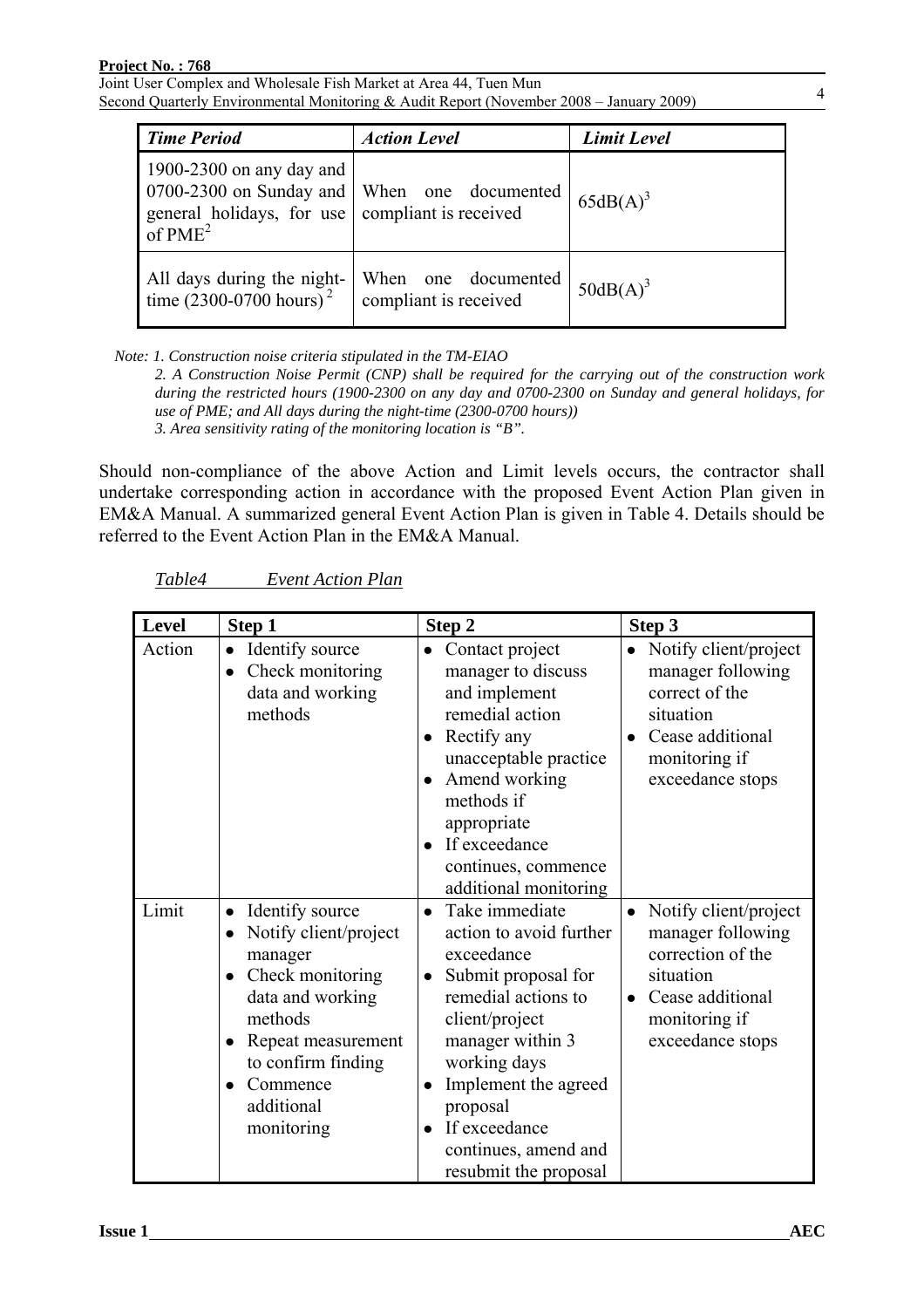Joint User Complex and Wholesale Fish Market at Area 44, Tuen Mun Second Quarterly Environmental Monitoring & Audit Report (November 2008 – January 2009)

| <b>Time Period</b>                                                                                                                                | <b>Action Level</b>                          | <b>Limit Level</b> |
|---------------------------------------------------------------------------------------------------------------------------------------------------|----------------------------------------------|--------------------|
| 1900-2300 on any day and<br>0700-2300 on Sunday and When one documented<br>general holidays, for use compliant is received<br>of PME <sup>2</sup> |                                              | $65dB(A)^3$        |
| All days during the night-<br>time $(2300-0700 \text{ hours})^2$                                                                                  | When one documented<br>compliant is received | $50dB(A)^3$        |

*Note: 1. Construction noise criteria stipulated in the TM-EIAO* 

*2. A Construction Noise Permit (CNP) shall be required for the carrying out of the construction work during the restricted hours (1900-2300 on any day and 0700-2300 on Sunday and general holidays, for use of PME; and All days during the night-time (2300-0700 hours)) 3. Area sensitivity rating of the monitoring location is "B".* 

Should non-compliance of the above Action and Limit levels occurs, the contractor shall undertake corresponding action in accordance with the proposed Event Action Plan given in EM&A Manual. A summarized general Event Action Plan is given in Table 4. Details should be referred to the Event Action Plan in the EM&A Manual.

| Level  | Step 1                                                                                                                                                                                                  | Step 2                                                                                                                                                                                                                                                                                      | Step 3                                                                                                                                                          |
|--------|---------------------------------------------------------------------------------------------------------------------------------------------------------------------------------------------------------|---------------------------------------------------------------------------------------------------------------------------------------------------------------------------------------------------------------------------------------------------------------------------------------------|-----------------------------------------------------------------------------------------------------------------------------------------------------------------|
| Action | Identify source<br>$\bullet$<br>Check monitoring<br>$\bullet$<br>data and working<br>methods                                                                                                            | • Contact project<br>manager to discuss<br>and implement<br>remedial action<br>Rectify any<br>unacceptable practice<br>Amend working<br>methods if<br>appropriate<br>If exceedance<br>continues, commence<br>additional monitoring                                                          | Notify client/project<br>manager following<br>correct of the<br>situation<br>Cease additional<br>monitoring if<br>exceedance stops                              |
| Limit  | Identify source<br>$\bullet$<br>Notify client/project<br>manager<br>Check monitoring<br>data and working<br>methods<br>Repeat measurement<br>to confirm finding<br>Commence<br>additional<br>monitoring | Take immediate<br>$\bullet$<br>action to avoid further<br>exceedance<br>Submit proposal for<br>$\bullet$<br>remedial actions to<br>client/project<br>manager within 3<br>working days<br>Implement the agreed<br>proposal<br>If exceedance<br>continues, amend and<br>resubmit the proposal | Notify client/project<br>$\bullet$<br>manager following<br>correction of the<br>situation<br>Cease additional<br>$\bullet$<br>monitoring if<br>exceedance stops |

*Table4 Event Action Plan*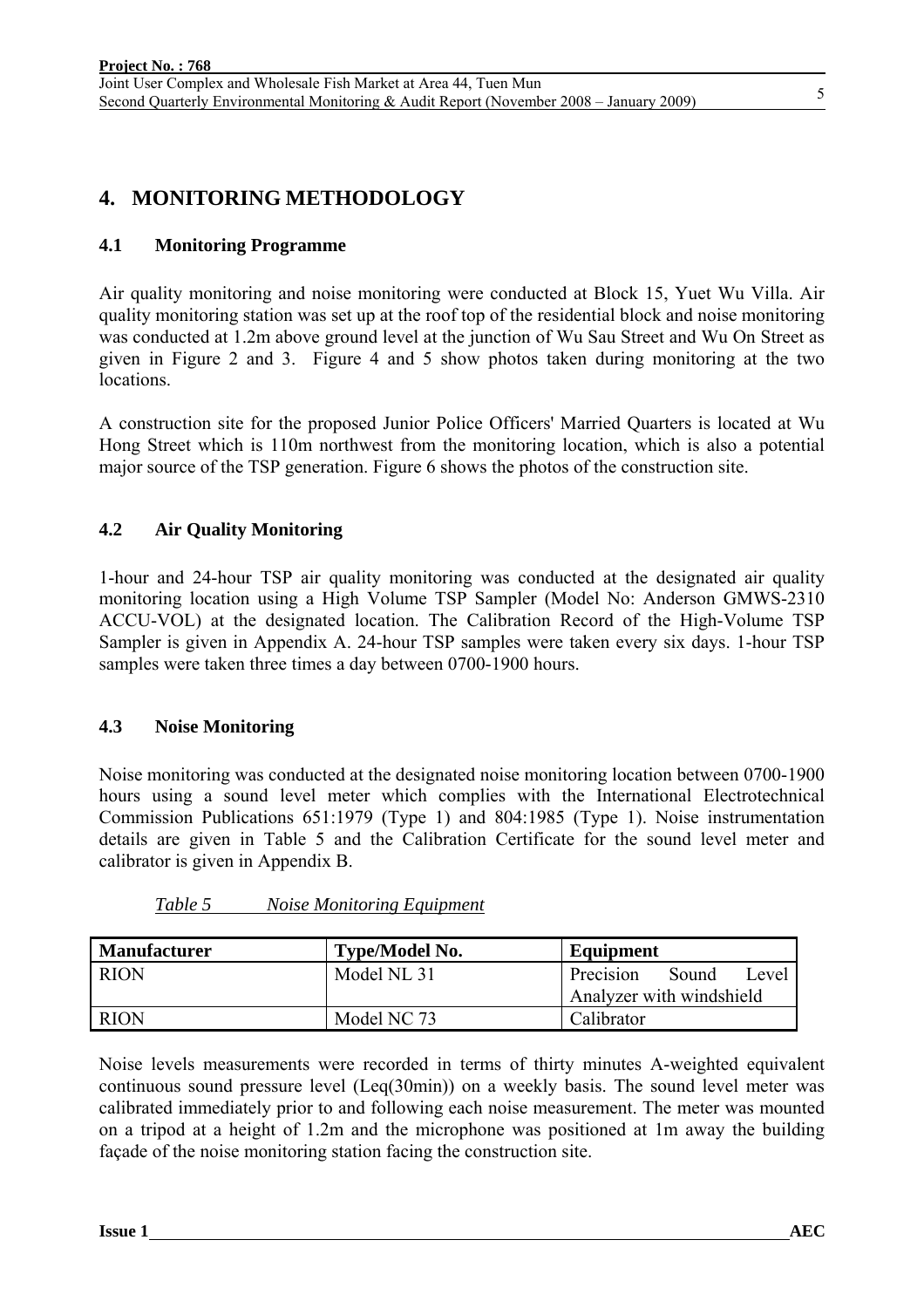### **4. MONITORING METHODOLOGY**

#### **4.1 Monitoring Programme**

Air quality monitoring and noise monitoring were conducted at Block 15, Yuet Wu Villa. Air quality monitoring station was set up at the roof top of the residential block and noise monitoring was conducted at 1.2m above ground level at the junction of Wu Sau Street and Wu On Street as given in Figure 2 and 3. Figure 4 and 5 show photos taken during monitoring at the two locations.

A construction site for the proposed Junior Police Officers' Married Quarters is located at Wu Hong Street which is 110m northwest from the monitoring location, which is also a potential major source of the TSP generation. Figure 6 shows the photos of the construction site.

#### **4.2 Air Quality Monitoring**

1-hour and 24-hour TSP air quality monitoring was conducted at the designated air quality monitoring location using a High Volume TSP Sampler (Model No: Anderson GMWS-2310 ACCU-VOL) at the designated location. The Calibration Record of the High-Volume TSP Sampler is given in Appendix A. 24-hour TSP samples were taken every six days. 1-hour TSP samples were taken three times a day between 0700-1900 hours.

#### **4.3 Noise Monitoring**

Noise monitoring was conducted at the designated noise monitoring location between 0700-1900 hours using a sound level meter which complies with the International Electrotechnical Commission Publications 651:1979 (Type 1) and 804:1985 (Type 1). Noise instrumentation details are given in Table 5 and the Calibration Certificate for the sound level meter and calibrator is given in Appendix B.

| <b>Manufacturer</b> | <b>Type/Model No.</b> | Equipment                   |
|---------------------|-----------------------|-----------------------------|
| <b>RION</b>         | Model NL 31           | Sound<br>Precision<br>Level |
|                     |                       | Analyzer with windshield    |
| <b>RION</b>         | Model NC 73           | Calibrator                  |

Noise levels measurements were recorded in terms of thirty minutes A-weighted equivalent continuous sound pressure level (Leq(30min)) on a weekly basis. The sound level meter was calibrated immediately prior to and following each noise measurement. The meter was mounted on a tripod at a height of 1.2m and the microphone was positioned at 1m away the building façade of the noise monitoring station facing the construction site.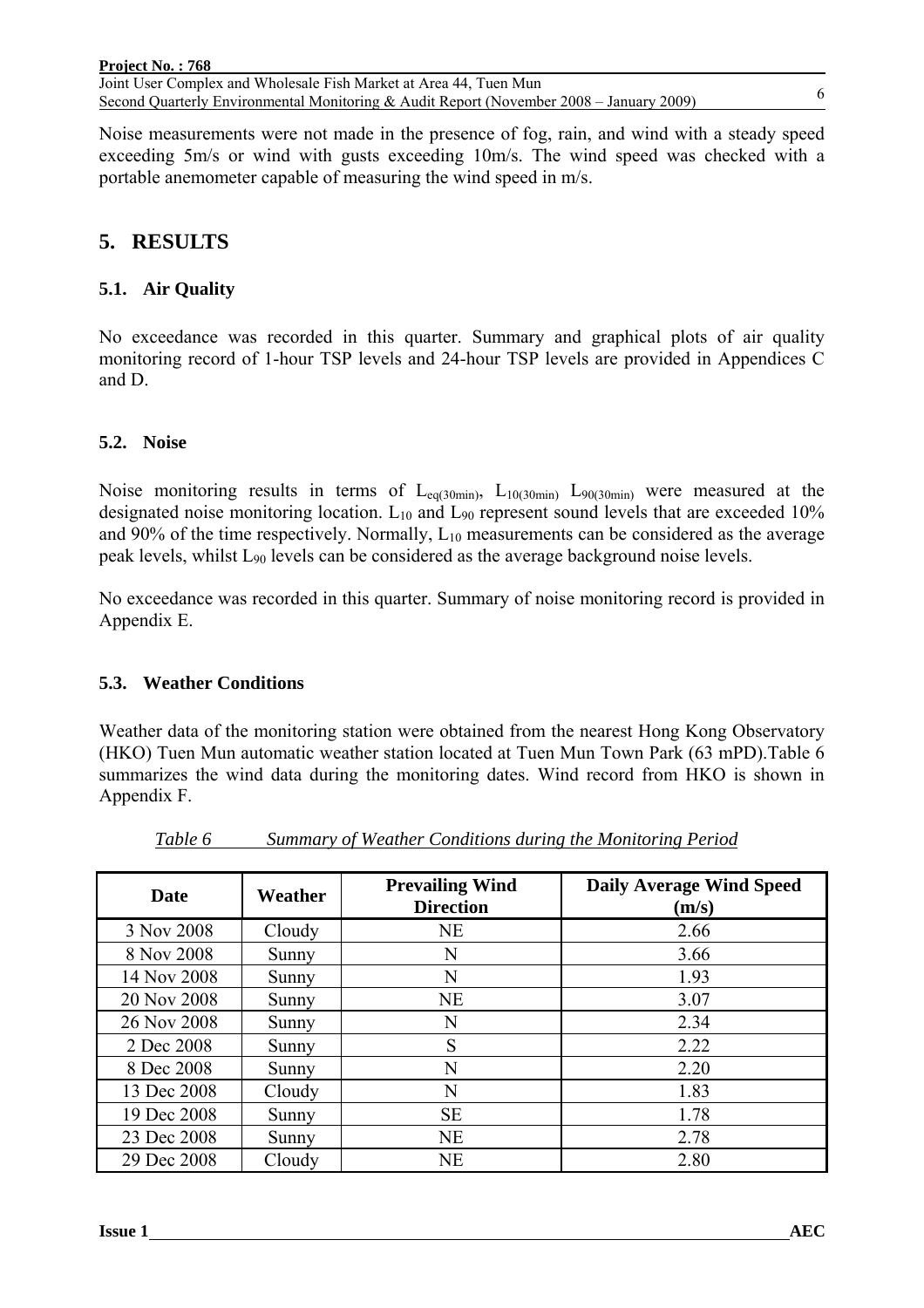Noise measurements were not made in the presence of fog, rain, and wind with a steady speed exceeding 5m/s or wind with gusts exceeding 10m/s. The wind speed was checked with a portable anemometer capable of measuring the wind speed in m/s.

### **5. RESULTS**

#### **5.1. Air Quality**

No exceedance was recorded in this quarter. Summary and graphical plots of air quality monitoring record of 1-hour TSP levels and 24-hour TSP levels are provided in Appendices C and D.

#### **5.2. Noise**

Noise monitoring results in terms of  $L_{eq(30min)}$ ,  $L_{10(30min)}$   $L_{90(30min)}$  were measured at the designated noise monitoring location.  $L_{10}$  and  $L_{90}$  represent sound levels that are exceeded 10% and 90% of the time respectively. Normally,  $L_{10}$  measurements can be considered as the average peak levels, whilst  $L_{90}$  levels can be considered as the average background noise levels.

No exceedance was recorded in this quarter. Summary of noise monitoring record is provided in Appendix E.

#### **5.3. Weather Conditions**

Weather data of the monitoring station were obtained from the nearest Hong Kong Observatory (HKO) Tuen Mun automatic weather station located at Tuen Mun Town Park (63 mPD).Table 6 summarizes the wind data during the monitoring dates. Wind record from HKO is shown in Appendix F.

| Date        | Weather | <b>Prevailing Wind</b><br><b>Direction</b> | <b>Daily Average Wind Speed</b><br>(m/s) |
|-------------|---------|--------------------------------------------|------------------------------------------|
| 3 Nov 2008  | Cloudy  | <b>NE</b>                                  | 2.66                                     |
| 8 Nov 2008  | Sunny   | N                                          | 3.66                                     |
| 14 Nov 2008 | Sunny   | N                                          | 1.93                                     |
| 20 Nov 2008 | Sunny   | <b>NE</b>                                  | 3.07                                     |
| 26 Nov 2008 | Sunny   | N                                          | 2.34                                     |
| 2 Dec 2008  | Sunny   | S                                          | 2.22                                     |
| 8 Dec 2008  | Sunny   | N                                          | 2.20                                     |
| 13 Dec 2008 | Cloudy  | N                                          | 1.83                                     |
| 19 Dec 2008 | Sunny   | <b>SE</b>                                  | 1.78                                     |
| 23 Dec 2008 | Sunny   | <b>NE</b>                                  | 2.78                                     |
| 29 Dec 2008 | Cloudy  | <b>NE</b>                                  | 2.80                                     |

*Table 6 Summary of Weather Conditions during the Monitoring Period*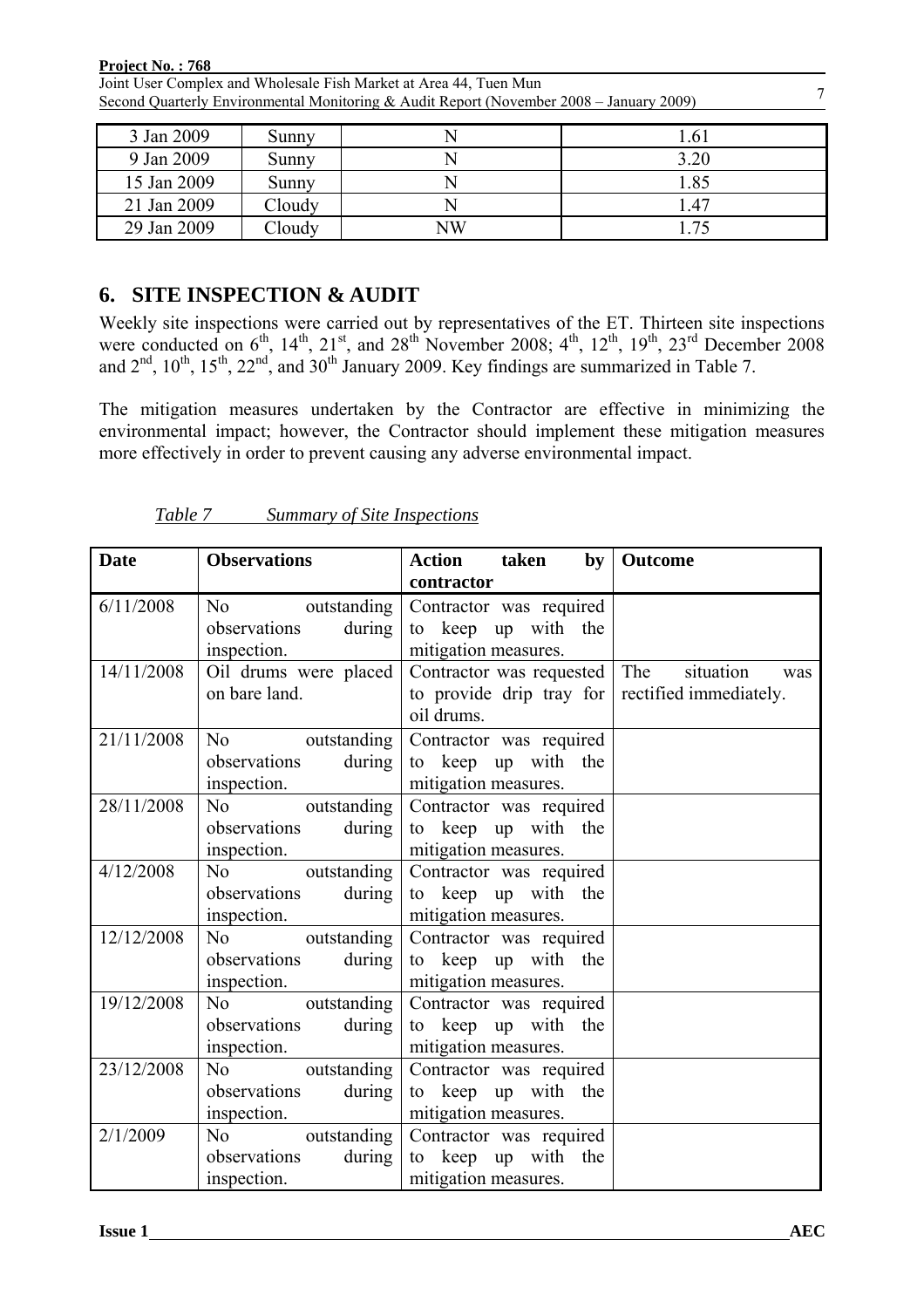| Project No.: 768                                                                             |        |    |      |  |  |  |
|----------------------------------------------------------------------------------------------|--------|----|------|--|--|--|
| Joint User Complex and Wholesale Fish Market at Area 44, Tuen Mun                            |        |    |      |  |  |  |
| 7<br>Second Quarterly Environmental Monitoring & Audit Report (November 2008 – January 2009) |        |    |      |  |  |  |
|                                                                                              |        |    |      |  |  |  |
| 3 Jan 2009                                                                                   | Sunny  | N  | 1.61 |  |  |  |
| 9 Jan 2009                                                                                   | Sunny  | N  | 3.20 |  |  |  |
| 15 Jan 2009                                                                                  | Sunny  | N  | 1.85 |  |  |  |
| 21 Jan 2009                                                                                  | Cloudy | N  | 1.47 |  |  |  |
| 29 Jan 2009                                                                                  | Cloudy | NW | 175  |  |  |  |

**6. SITE INSPECTION & AUDIT** 

Weekly site inspections were carried out by representatives of the ET. Thirteen site inspections were conducted on  $6^{th}$ ,  $14^{th}$ ,  $21^{st}$ , and  $28^{th}$  November 2008;  $4^{th}$ ,  $12^{th}$ ,  $19^{th}$ ,  $23^{rd}$  December 2008 and  $2<sup>nd</sup>$ ,  $10<sup>th</sup>$ ,  $15<sup>th</sup>$ ,  $22<sup>nd</sup>$ , and  $30<sup>th</sup>$  January 2009. Key findings are summarized in Table 7.

The mitigation measures undertaken by the Contractor are effective in minimizing the environmental impact; however, the Contractor should implement these mitigation measures more effectively in order to prevent causing any adverse environmental impact.

| Table 7 | <b>Summary of Site Inspections</b> |  |
|---------|------------------------------------|--|
|         |                                    |  |

| <b>Date</b> | <b>Observations</b>                                  | Action taken by Outcome                                                                                                     |     |
|-------------|------------------------------------------------------|-----------------------------------------------------------------------------------------------------------------------------|-----|
|             |                                                      | contractor                                                                                                                  |     |
| 6/11/2008   | inspection.<br><b>Contract Contract Contract</b>     | No outstanding Contractor was required<br>observations during to keep up with the<br>mitigation measures.                   |     |
| 14/11/2008  | Oil drums were placed<br>on bare land.               | Contractor was requested $\vert$ The situation<br>to provide drip tray for rectified immediately.<br>oil drums.             | was |
| 21/11/2008  | inspection.                                          | No outstanding Contractor was required<br>observations during to keep up with the<br>mitigation measures.                   |     |
| 28/11/2008  | observations during                                  | No outstanding Contractor was required<br>to keep up with the                                                               |     |
| 4/12/2008   | observations during<br>inspection.                   | inspection.   mitigation measures.<br>No outstanding Contractor was required<br>to keep up with the<br>mitigation measures. |     |
| 12/12/2008  | observations during<br>inspection.                   | No outstanding Contractor was required<br>to keep up with the<br>mitigation measures.                                       |     |
| 19/12/2008  | observations during<br>inspection.                   | No outstanding Contractor was required<br>to keep up with the<br>mitigation measures.                                       |     |
| 23/12/2008  | No outstanding<br>observations during<br>inspection. | Contractor was required<br>to keep up with the<br>mitigation measures.                                                      |     |
| 2/1/2009    | during<br>observations<br>inspection.                | No outstanding Contractor was required<br>to keep up with the<br>mitigation measures.                                       |     |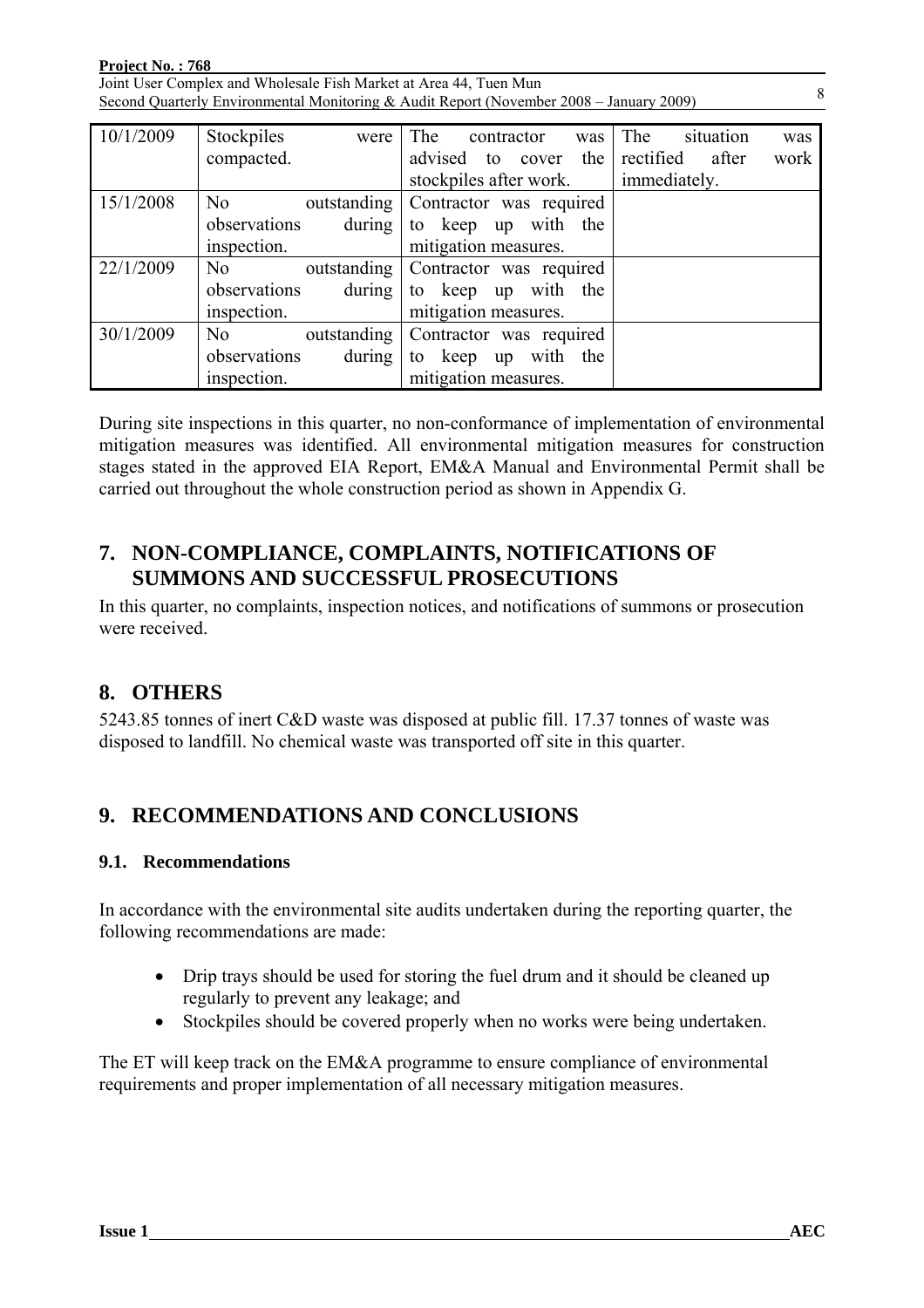| <u><b>Project No.: 768</b></u>                                                          |  |
|-----------------------------------------------------------------------------------------|--|
| Joint User Complex and Wholesale Fish Market at Area 44, Tuen Mun                       |  |
| Second Quarterly Environmental Monitoring & Audit Report (November 2008 – January 2009) |  |

| 10/1/2009 | Stockpiles<br>were<br>compacted. | The<br>contractor<br>was<br>advised to cover the rectified after | situation<br>The<br>was<br>work |
|-----------|----------------------------------|------------------------------------------------------------------|---------------------------------|
|           |                                  | stockpiles after work.                                           | immediately.                    |
| 15/1/2008 | No                               | outstanding   Contractor was required                            |                                 |
|           | observations<br>during           | to keep up with the                                              |                                 |
|           | inspection.                      | mitigation measures.                                             |                                 |
| 22/1/2009 | No                               | outstanding   Contractor was required                            |                                 |
|           | observations<br>during           | to keep up with the                                              |                                 |
|           | inspection.                      | mitigation measures.                                             |                                 |
| 30/1/2009 | N <sub>o</sub>                   | outstanding   Contractor was required                            |                                 |
|           | observations<br>during           | to keep up with the                                              |                                 |
|           | inspection.                      | mitigation measures.                                             |                                 |

During site inspections in this quarter, no non-conformance of implementation of environmental mitigation measures was identified. All environmental mitigation measures for construction stages stated in the approved EIA Report, EM&A Manual and Environmental Permit shall be carried out throughout the whole construction period as shown in Appendix G.

### **7. NON-COMPLIANCE, COMPLAINTS, NOTIFICATIONS OF SUMMONS AND SUCCESSFUL PROSECUTIONS**

In this quarter, no complaints, inspection notices, and notifications of summons or prosecution were received.

## **8. OTHERS**

5243.85 tonnes of inert C&D waste was disposed at public fill. 17.37 tonnes of waste was disposed to landfill. No chemical waste was transported off site in this quarter.

## **9. RECOMMENDATIONS AND CONCLUSIONS**

### **9.1. Recommendations**

In accordance with the environmental site audits undertaken during the reporting quarter, the following recommendations are made:

- Drip trays should be used for storing the fuel drum and it should be cleaned up regularly to prevent any leakage; and
- Stockpiles should be covered properly when no works were being undertaken.

The ET will keep track on the EM&A programme to ensure compliance of environmental requirements and proper implementation of all necessary mitigation measures.